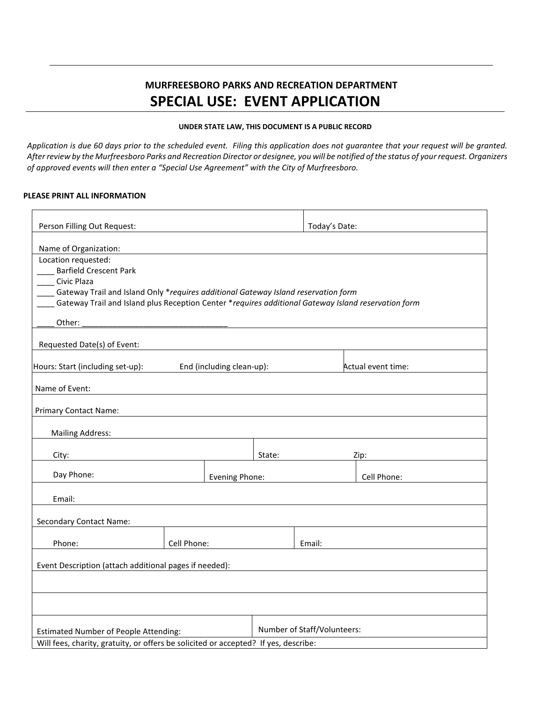## **MURFREESBORO PARKS AND RECREATION DEPARTMENT SPECIAL USE: EVENT APPLICATION**

## **UNDER STATE LAW, THIS DOCUMENT IS A PUBLIC RECORD**

*Application is due 60 days prior to the scheduled event. Filing this application does not guarantee that your request will be granted. After review by the Murfreesboro Parks and Recreation Director or designee, you will be notified of the status of your request. Organizers of approved events will then enter a "Special Use Agreement" with the City of Murfreesboro.*

## **PLEASE PRINT ALL INFORMATION**

| Person Filling Out Request:                                                                                                                                                                                                                                      |             |                           | Today's Date: |                             |             |
|------------------------------------------------------------------------------------------------------------------------------------------------------------------------------------------------------------------------------------------------------------------|-------------|---------------------------|---------------|-----------------------------|-------------|
| Name of Organization:                                                                                                                                                                                                                                            |             |                           |               |                             |             |
| Location requested:<br><b>Barfield Crescent Park</b><br>Civic Plaza<br>Gateway Trail and Island Only *requires additional Gateway Island reservation form<br>Gateway Trail and Island plus Reception Center *requires additional Gateway Island reservation form |             |                           |               |                             |             |
| Other:                                                                                                                                                                                                                                                           |             |                           |               |                             |             |
| Requested Date(s) of Event:                                                                                                                                                                                                                                      |             |                           |               |                             |             |
| Hours: Start (including set-up):                                                                                                                                                                                                                                 |             | End (including clean-up): |               | Actual event time:          |             |
| Name of Event:                                                                                                                                                                                                                                                   |             |                           |               |                             |             |
| Primary Contact Name:                                                                                                                                                                                                                                            |             |                           |               |                             |             |
| <b>Mailing Address:</b>                                                                                                                                                                                                                                          |             |                           |               |                             |             |
| City:                                                                                                                                                                                                                                                            |             |                           | State:        |                             | Zip:        |
| Day Phone:                                                                                                                                                                                                                                                       |             | Evening Phone:            |               |                             | Cell Phone: |
| Email:                                                                                                                                                                                                                                                           |             |                           |               |                             |             |
| <b>Secondary Contact Name:</b>                                                                                                                                                                                                                                   |             |                           |               |                             |             |
| Phone:                                                                                                                                                                                                                                                           | Cell Phone: |                           |               | Email:                      |             |
| Event Description (attach additional pages if needed):                                                                                                                                                                                                           |             |                           |               |                             |             |
|                                                                                                                                                                                                                                                                  |             |                           |               |                             |             |
|                                                                                                                                                                                                                                                                  |             |                           |               |                             |             |
| <b>Estimated Number of People Attending:</b>                                                                                                                                                                                                                     |             |                           |               | Number of Staff/Volunteers: |             |
| Will fees, charity, gratuity, or offers be solicited or accepted? If yes, describe:                                                                                                                                                                              |             |                           |               |                             |             |